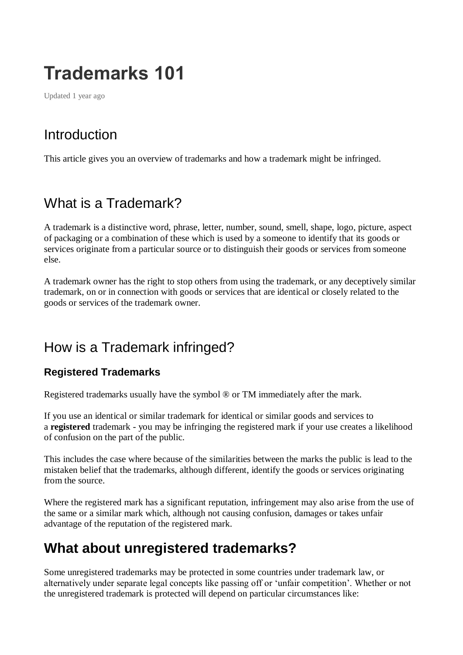# **Trademarks 101**

Updated 1 year ago

# Introduction

This article gives you an overview of trademarks and how a trademark might be infringed.

# What is a Trademark?

A trademark is a distinctive word, phrase, letter, number, sound, smell, shape, logo, picture, aspect of packaging or a combination of these which is used by a someone to identify that its goods or services originate from a particular source or to distinguish their goods or services from someone else.

A trademark owner has the right to stop others from using the trademark, or any deceptively similar trademark, on or in connection with goods or services that are identical or closely related to the goods or services of the trademark owner.

### How is a Trademark infringed?

#### **Registered Trademarks**

Registered trademarks usually have the symbol ® or TM immediately after the mark.

If you use an identical or similar trademark for identical or similar goods and services to a **registered** trademark - you may be infringing the registered mark if your use creates a likelihood of confusion on the part of the public.

This includes the case where because of the similarities between the marks the public is lead to the mistaken belief that the trademarks, although different, identify the goods or services originating from the source.

Where the registered mark has a significant reputation, infringement may also arise from the use of the same or a similar mark which, although not causing confusion, damages or takes unfair advantage of the reputation of the registered mark.

### **What about unregistered trademarks?**

Some unregistered trademarks may be protected in some countries under trademark law, or alternatively under separate legal concepts like passing off or 'unfair competition'. Whether or not the unregistered trademark is protected will depend on particular circumstances like: